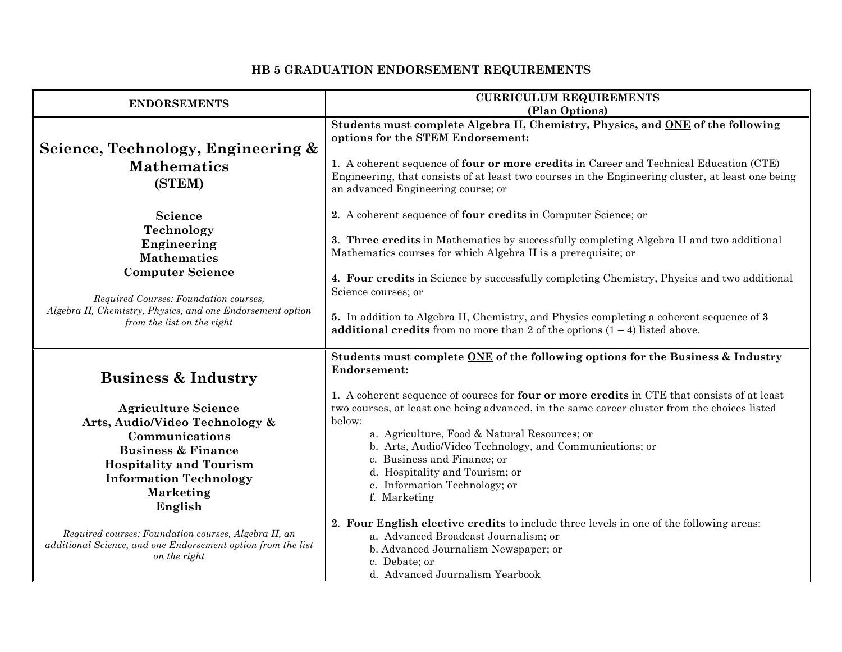| <b>ENDORSEMENTS</b>                                                                                                                                                                                                        | <b>CURRICULUM REQUIREMENTS</b>                                                                                                                                                                                                                                                                                                                                                                                                                                                                                                         |
|----------------------------------------------------------------------------------------------------------------------------------------------------------------------------------------------------------------------------|----------------------------------------------------------------------------------------------------------------------------------------------------------------------------------------------------------------------------------------------------------------------------------------------------------------------------------------------------------------------------------------------------------------------------------------------------------------------------------------------------------------------------------------|
|                                                                                                                                                                                                                            | (Plan Options)                                                                                                                                                                                                                                                                                                                                                                                                                                                                                                                         |
| Science, Technology, Engineering &<br><b>Mathematics</b><br>(STEM)                                                                                                                                                         | Students must complete Algebra II, Chemistry, Physics, and ONE of the following<br>options for the STEM Endorsement:<br>1. A coherent sequence of four or more credits in Career and Technical Education (CTE)<br>Engineering, that consists of at least two courses in the Engineering cluster, at least one being<br>an advanced Engineering course; or                                                                                                                                                                              |
| Science<br>Technology<br>Engineering<br><b>Mathematics</b><br><b>Computer Science</b><br>Required Courses: Foundation courses,<br>Algebra II, Chemistry, Physics, and one Endorsement option<br>from the list on the right | 2. A coherent sequence of four credits in Computer Science; or<br>3. Three credits in Mathematics by successfully completing Algebra II and two additional<br>Mathematics courses for which Algebra II is a prerequisite; or<br>4. Four credits in Science by successfully completing Chemistry, Physics and two additional<br>Science courses; or<br>5. In addition to Algebra II, Chemistry, and Physics completing a coherent sequence of 3<br><b>additional credits</b> from no more than 2 of the options $(1 - 4)$ listed above. |
| <b>Business &amp; Industry</b>                                                                                                                                                                                             | Students must complete ONE of the following options for the Business & Industry<br><b>Endorsement:</b>                                                                                                                                                                                                                                                                                                                                                                                                                                 |
| <b>Agriculture Science</b><br>Arts, Audio/Video Technology &<br>Communications<br><b>Business &amp; Finance</b><br><b>Hospitality and Tourism</b><br><b>Information Technology</b><br><b>Marketing</b><br>English          | 1. A coherent sequence of courses for four or more credits in CTE that consists of at least<br>two courses, at least one being advanced, in the same career cluster from the choices listed<br>below:<br>a. Agriculture, Food & Natural Resources; or<br>b. Arts, Audio/Video Technology, and Communications; or<br>c. Business and Finance; or<br>d. Hospitality and Tourism; or<br>e. Information Technology; or<br>f. Marketing                                                                                                     |
| Required courses: Foundation courses, Algebra II, an<br>additional Science, and one Endorsement option from the list<br>on the right                                                                                       | 2. Four English elective credits to include three levels in one of the following areas:<br>a. Advanced Broadcast Journalism; or<br>b. Advanced Journalism Newspaper; or<br>c. Debate; or<br>d. Advanced Journalism Yearbook                                                                                                                                                                                                                                                                                                            |

## **HB 5 GRADUATION ENDORSEMENT REQUIREMENTS**